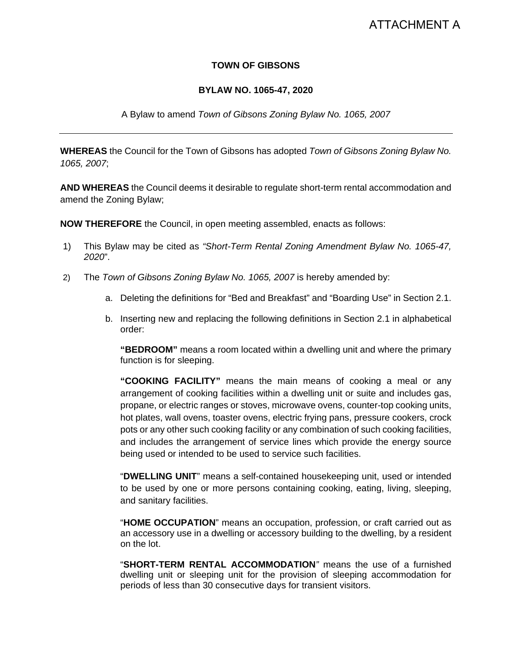# ATTACHMENT A

### **TOWN OF GIBSONS**

#### **BYLAW NO. 1065-47, 2020**

#### A Bylaw to amend *Town of Gibsons Zoning Bylaw No. 1065, 2007*

**WHEREAS** the Council for the Town of Gibsons has adopted *Town of Gibsons Zoning Bylaw No. 1065, 2007*;

**AND WHEREAS** the Council deems it desirable to regulate short-term rental accommodation and amend the Zoning Bylaw;

**NOW THEREFORE** the Council, in open meeting assembled, enacts as follows:

- 1) This Bylaw may be cited as *"Short-Term Rental Zoning Amendment Bylaw No. 1065-47, 2020*".
- 2) The *Town of Gibsons Zoning Bylaw No. 1065, 2007* is hereby amended by:
	- a. Deleting the definitions for "Bed and Breakfast" and "Boarding Use" in Section 2.1.
	- b. Inserting new and replacing the following definitions in Section 2.1 in alphabetical order:

**"BEDROOM"** means a room located within a dwelling unit and where the primary function is for sleeping.

**"COOKING FACILITY"** means the main means of cooking a meal or any arrangement of cooking facilities within a dwelling unit or suite and includes gas, propane, or electric ranges or stoves, microwave ovens, counter-top cooking units, hot plates, wall ovens, toaster ovens, electric frying pans, pressure cookers, crock pots or any other such cooking facility or any combination of such cooking facilities, and includes the arrangement of service lines which provide the energy source being used or intended to be used to service such facilities.

"**DWELLING UNIT**" means a self-contained housekeeping unit, used or intended to be used by one or more persons containing cooking, eating, living, sleeping, and sanitary facilities.

"**HOME OCCUPATION**" means an occupation, profession, or craft carried out as an accessory use in a dwelling or accessory building to the dwelling, by a resident on the lot.

"**SHORT-TERM RENTAL ACCOMMODATION***"* means the use of a furnished dwelling unit or sleeping unit for the provision of sleeping accommodation for periods of less than 30 consecutive days for transient visitors.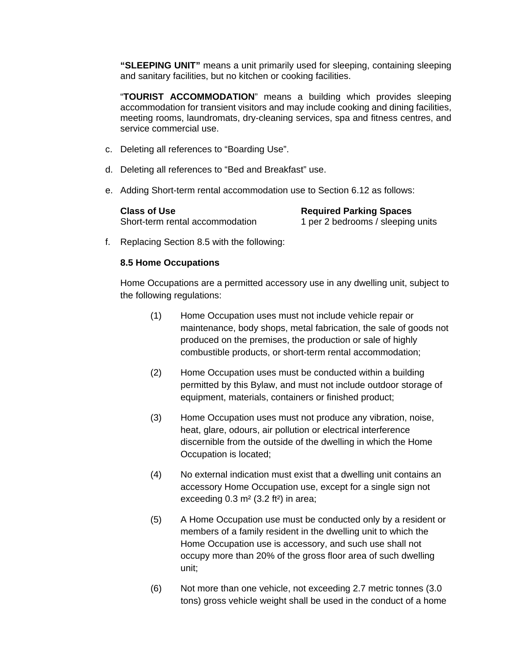**"SLEEPING UNIT"** means a unit primarily used for sleeping, containing sleeping and sanitary facilities, but no kitchen or cooking facilities.

"**TOURIST ACCOMMODATION**" means a building which provides sleeping accommodation for transient visitors and may include cooking and dining facilities, meeting rooms, laundromats, dry-cleaning services, spa and fitness centres, and service commercial use.

- c. Deleting all references to "Boarding Use".
- d. Deleting all references to "Bed and Breakfast" use.
- e. Adding Short-term rental accommodation use to Section 6.12 as follows:

**Class of Use**<br>
Short-term rental accommodation<br>  $\begin{array}{r} \n\text{Required Parking Spaces} \\
\text{Short-term rental accommodation} \\
\end{array}$ 

1 per 2 bedrooms / sleeping units

f. Replacing Section 8.5 with the following:

#### **8.5 Home Occupations**

Home Occupations are a permitted accessory use in any dwelling unit, subject to the following regulations:

- (1) Home Occupation uses must not include vehicle repair or maintenance, body shops, metal fabrication, the sale of goods not produced on the premises, the production or sale of highly combustible products, or short-term rental accommodation;
- (2) Home Occupation uses must be conducted within a building permitted by this Bylaw, and must not include outdoor storage of equipment, materials, containers or finished product;
- (3) Home Occupation uses must not produce any vibration, noise, heat, glare, odours, air pollution or electrical interference discernible from the outside of the dwelling in which the Home Occupation is located;
- (4) No external indication must exist that a dwelling unit contains an accessory Home Occupation use, except for a single sign not exceeding  $0.3$  m<sup>2</sup> (3.2 ft<sup>2</sup>) in area;
- (5) A Home Occupation use must be conducted only by a resident or members of a family resident in the dwelling unit to which the Home Occupation use is accessory, and such use shall not occupy more than 20% of the gross floor area of such dwelling unit;
- (6) Not more than one vehicle, not exceeding 2.7 metric tonnes (3.0 tons) gross vehicle weight shall be used in the conduct of a home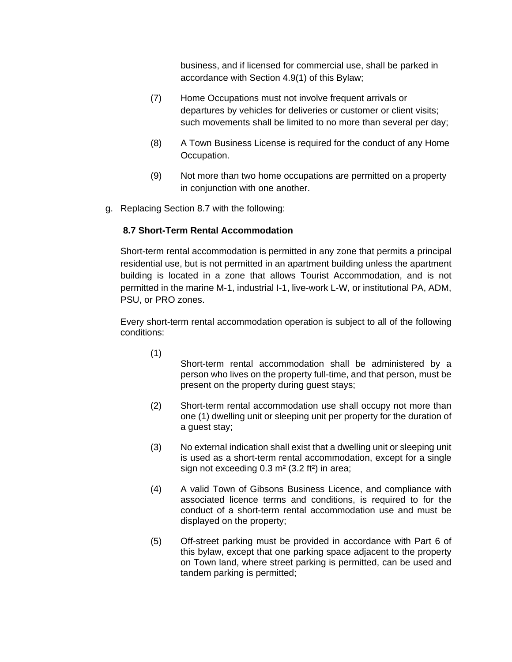business, and if licensed for commercial use, shall be parked in accordance with Section 4.9(1) of this Bylaw;

- (7) Home Occupations must not involve frequent arrivals or departures by vehicles for deliveries or customer or client visits; such movements shall be limited to no more than several per day;
- (8) A Town Business License is required for the conduct of any Home Occupation.
- (9) Not more than two home occupations are permitted on a property in conjunction with one another.
- g. Replacing Section 8.7 with the following:

## **8.7 Short-Term Rental Accommodation**

Short-term rental accommodation is permitted in any zone that permits a principal residential use, but is not permitted in an apartment building unless the apartment building is located in a zone that allows Tourist Accommodation, and is not permitted in the marine M-1, industrial I-1, live-work L-W, or institutional PA, ADM, PSU, or PRO zones.

Every short-term rental accommodation operation is subject to all of the following conditions:

(1)

Short-term rental accommodation shall be administered by a person who lives on the property full-time, and that person, must be present on the property during guest stays;

- (2) Short-term rental accommodation use shall occupy not more than one (1) dwelling unit or sleeping unit per property for the duration of a guest stay;
- (3) No external indication shall exist that a dwelling unit or sleeping unit is used as a short-term rental accommodation, except for a single sign not exceeding 0.3 m<sup>2</sup> (3.2 ft<sup>2</sup>) in area;
- (4) A valid Town of Gibsons Business Licence, and compliance with associated licence terms and conditions, is required to for the conduct of a short-term rental accommodation use and must be displayed on the property;
- (5) Off-street parking must be provided in accordance with Part 6 of this bylaw, except that one parking space adjacent to the property on Town land, where street parking is permitted, can be used and tandem parking is permitted;